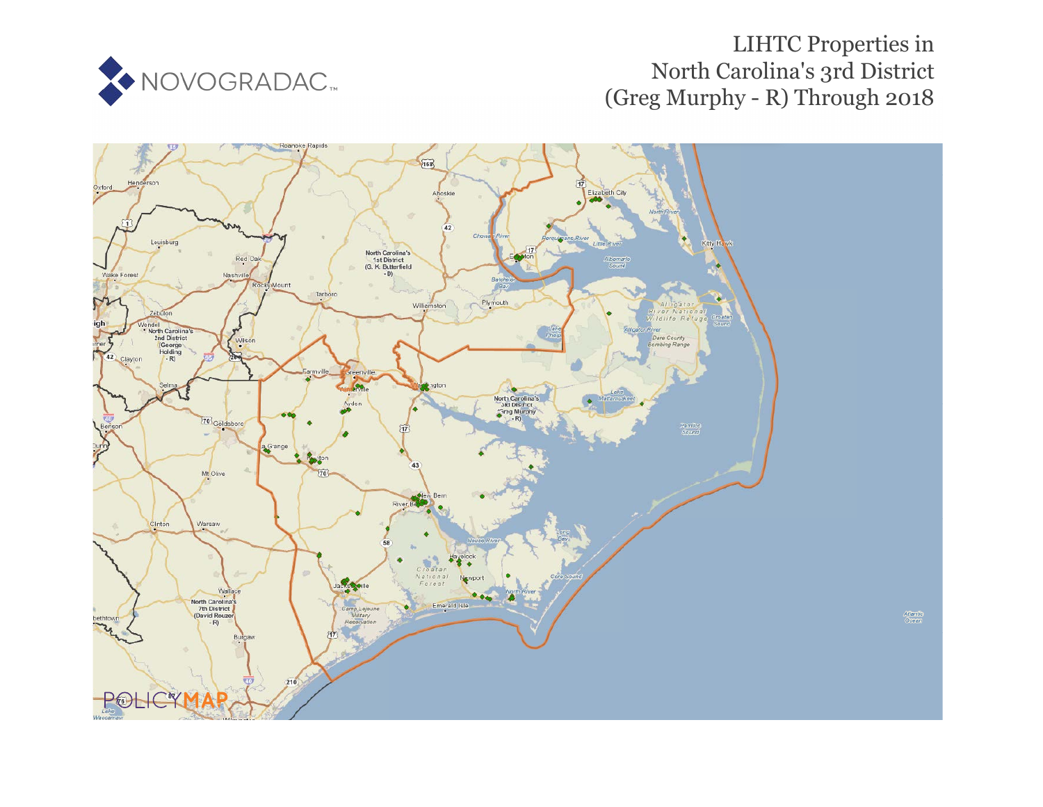

# LIHTC Properties in Nor[th](https://www.policymap.com/our-data-directory.html#HUD%20LIHTC) Carolina's 3rd District (Greg Murphy - R) Through 2018

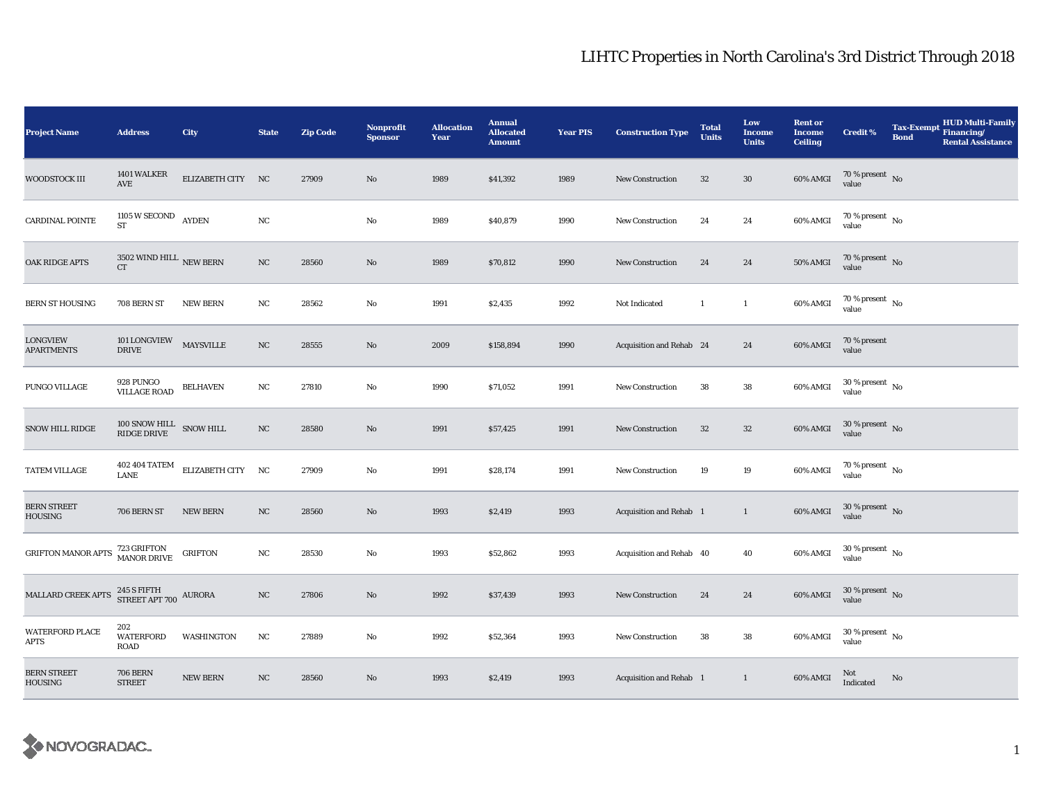| <b>Project Name</b>            | <b>Address</b>                             | City              | <b>State</b> | <b>Zip Code</b> | Nonprofit<br><b>Sponsor</b> | <b>Allocation</b><br>Year | <b>Annual</b><br><b>Allocated</b><br><b>Amount</b> | <b>Year PIS</b> | <b>Construction Type</b> | <b>Total</b><br><b>Units</b> | Low<br><b>Income</b><br><b>Units</b> | <b>Rent or</b><br><b>Income</b><br><b>Ceiling</b> | <b>Credit %</b>                      | <b>Tax-Exempt</b><br><b>Bond</b> | <b>HUD Multi-Family</b><br>Financing/<br><b>Rental Assistance</b> |
|--------------------------------|--------------------------------------------|-------------------|--------------|-----------------|-----------------------------|---------------------------|----------------------------------------------------|-----------------|--------------------------|------------------------------|--------------------------------------|---------------------------------------------------|--------------------------------------|----------------------------------|-------------------------------------------------------------------|
| WOODSTOCK III                  | 1401 WALKER<br>$\operatorname{AVE}$        | ELIZABETH CITY NC |              | 27909           | No                          | 1989                      | \$41,392                                           | 1989            | <b>New Construction</b>  | 32                           | $30\,$                               | 60% AMGI                                          | 70 % present $\hbox{~No}$<br>value   |                                  |                                                                   |
| <b>CARDINAL POINTE</b>         | 1105 W SECOND AYDEN<br><b>ST</b>           |                   | $_{\rm NC}$  |                 | No                          | 1989                      | \$40,879                                           | 1990            | <b>New Construction</b>  | 24                           | 24                                   | 60% AMGI                                          | $70\%$ present No<br>value           |                                  |                                                                   |
| OAK RIDGE APTS                 | 3502 WIND HILL $\,$ NEW BERN<br><b>CT</b>  |                   | $_{\rm NC}$  | 28560           | $\mathbf{N}\mathbf{o}$      | 1989                      | \$70,812                                           | 1990            | <b>New Construction</b>  | 24                           | 24                                   | 50% AMGI                                          | $70$ % present $\,$ No value         |                                  |                                                                   |
| <b>BERN ST HOUSING</b>         | 708 BERN ST                                | <b>NEW BERN</b>   | NC           | 28562           | No                          | 1991                      | \$2,435                                            | 1992            | Not Indicated            | $\mathbf{1}$                 | $\mathbf{1}$                         | 60% AMGI                                          | $70$ % present $\,$ No $\,$<br>value |                                  |                                                                   |
| LONGVIEW<br><b>APARTMENTS</b>  | 101 LONGVIEW<br><b>DRIVE</b>               | <b>MAYSVILLE</b>  | NC           | 28555           | No                          | 2009                      | \$158,894                                          | 1990            | Acquisition and Rehab 24 |                              | 24                                   | 60% AMGI                                          | 70 % present<br>value                |                                  |                                                                   |
| PUNGO VILLAGE                  | 928 PUNGO<br>VILLAGE ROAD                  | <b>BELHAVEN</b>   | NC           | 27810           | $\rm No$                    | 1990                      | \$71,052                                           | 1991            | New Construction         | 38                           | 38                                   | 60% AMGI                                          | $30$ % present $\,$ No $\,$<br>value |                                  |                                                                   |
| <b>SNOW HILL RIDGE</b>         | $100$ SNOW HILL $\;$ SNOW HILL RIDGE DRIVE |                   | $_{\rm NC}$  | 28580           | No                          | 1991                      | \$57,425                                           | 1991            | <b>New Construction</b>  | $32\,$                       | $32\,$                               | 60% AMGI                                          | $30\,\%$ present $\,$ No value       |                                  |                                                                   |
| <b>TATEM VILLAGE</b>           | <b>402 404 TATEM</b><br>LANE               | ELIZABETH CITY    | NC           | 27909           | No                          | 1991                      | \$28,174                                           | 1991            | New Construction         | 19                           | 19                                   | 60% AMGI                                          | $70$ % present $\,$ No value         |                                  |                                                                   |
| <b>BERN STREET</b><br>HOUSING  | 706 BERN ST                                | <b>NEW BERN</b>   | NC           | 28560           | No                          | 1993                      | \$2,419                                            | 1993            | Acquisition and Rehab 1  |                              | $\mathbf{1}$                         | 60% AMGI                                          | 30 % present $\hbox{~No}$<br>value   |                                  |                                                                   |
| GRIFTON MANOR APTS             | 723 GRIFTON<br>MANOR DRIVE                 | <b>GRIFTON</b>    | NC           | 28530           | No                          | 1993                      | \$52,862                                           | 1993            | Acquisition and Rehab 40 |                              | 40                                   | 60% AMGI                                          | $30$ % present $\,$ No $\,$<br>value |                                  |                                                                   |
| MALLARD CREEK APTS             | $245$ S FIFTH $$\sf NIRORA$$               |                   | NC           | 27806           | $\mathbf{N}\mathbf{o}$      | 1992                      | \$37,439                                           | 1993            | New Construction         | 24                           | 24                                   | 60% AMGI                                          | 30 % present $\,$ No $\,$<br>value   |                                  |                                                                   |
| <b>WATERFORD PLACE</b><br>APTS | 202<br><b>WATERFORD</b><br><b>ROAD</b>     | WASHINGTON        | $_{\rm NC}$  | 27889           | No                          | 1992                      | \$52,364                                           | 1993            | <b>New Construction</b>  | 38                           | 38                                   | 60% AMGI                                          | $30\,\%$ present $\,$ No value       |                                  |                                                                   |
| <b>BERN STREET</b><br>HOUSING  | <b>706 BERN</b><br><b>STREET</b>           | <b>NEW BERN</b>   | NC           | 28560           | No                          | 1993                      | \$2,419                                            | 1993            | Acquisition and Rehab 1  |                              | $\mathbf{1}$                         | 60% AMGI                                          | Not<br>Indicated                     | No                               |                                                                   |

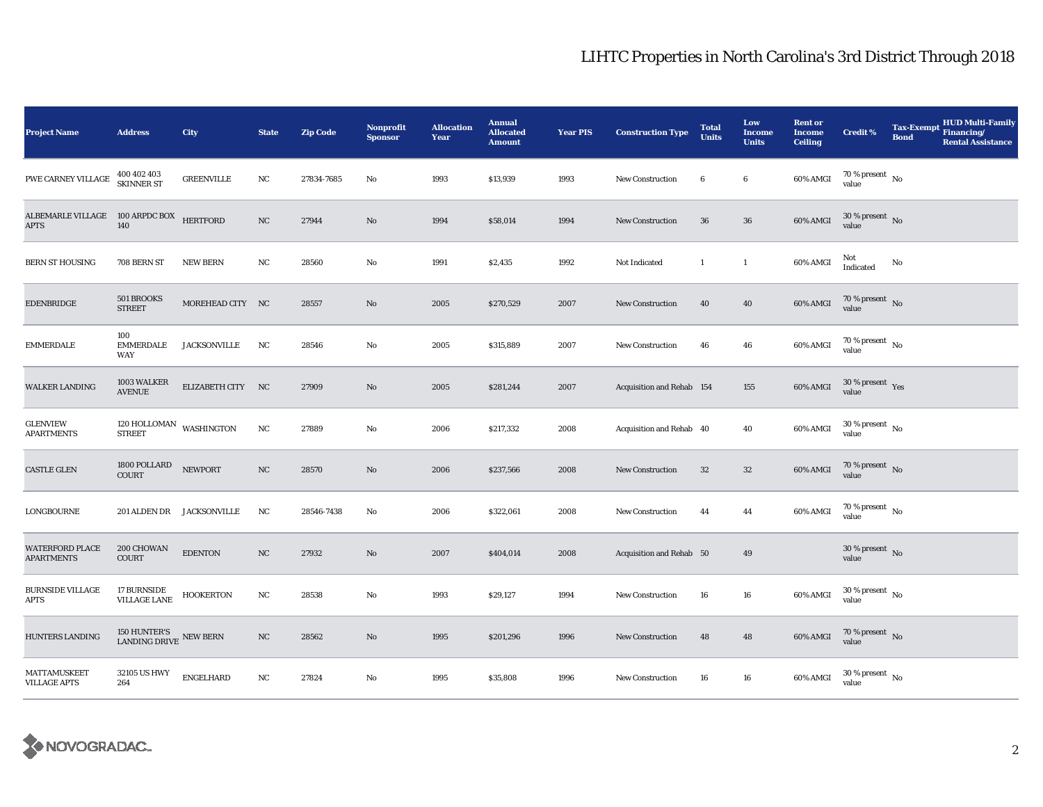| <b>Project Name</b>                                     | <b>Address</b>                                     | <b>City</b>               | <b>State</b> | <b>Zip Code</b> | Nonprofit<br><b>Sponsor</b> | <b>Allocation</b><br>Year | <b>Annual</b><br><b>Allocated</b><br><b>Amount</b> | <b>Year PIS</b> | <b>Construction Type</b>  | <b>Total</b><br><b>Units</b> | Low<br><b>Income</b><br><b>Units</b> | <b>Rent or</b><br><b>Income</b><br><b>Ceiling</b> | <b>Credit %</b>                        | <b>Tax-Exempt</b><br><b>Bond</b> | <b>HUD Multi-Family</b><br>Financing/<br><b>Rental Assistance</b> |
|---------------------------------------------------------|----------------------------------------------------|---------------------------|--------------|-----------------|-----------------------------|---------------------------|----------------------------------------------------|-----------------|---------------------------|------------------------------|--------------------------------------|---------------------------------------------------|----------------------------------------|----------------------------------|-------------------------------------------------------------------|
| ${\tt PWE}$ CARNEY VILLAGE                              | 400 402 403<br>SKINNER ST                          | <b>GREENVILLE</b>         | $_{\rm NC}$  | 27834-7685      | No                          | 1993                      | \$13,939                                           | 1993            | <b>New Construction</b>   | 6                            | $\bf 6$                              | 60% AMGI                                          | 70 % present $\hbox{~No}$<br>value     |                                  |                                                                   |
| ALBEMARLE VILLAGE 100 ARPDC BOX HERTFORD<br><b>APTS</b> | 140                                                |                           | NC           | 27944           | No                          | 1994                      | \$58,014                                           | 1994            | <b>New Construction</b>   | 36                           | 36                                   | 60% AMGI                                          | 30 % present No<br>value               |                                  |                                                                   |
| <b>BERN ST HOUSING</b>                                  | 708 BERN ST                                        | <b>NEW BERN</b>           | NC           | 28560           | No                          | 1991                      | \$2,435                                            | 1992            | Not Indicated             | $\mathbf{1}$                 | $\mathbf{1}$                         | 60% AMGI                                          | Not<br>Indicated                       | No                               |                                                                   |
| <b>EDENBRIDGE</b>                                       | 501 BROOKS<br><b>STREET</b>                        | MOREHEAD CITY NC          |              | 28557           | No                          | 2005                      | \$270,529                                          | 2007            | New Construction          | 40                           | 40                                   | 60% AMGI                                          | $70\,\%$ present $\,$ No value         |                                  |                                                                   |
| EMMERDALE                                               | 100<br>EMMERDALE<br>WAY                            | JACKSONVILLE              | NC           | 28546           | No                          | 2005                      | \$315,889                                          | 2007            | <b>New Construction</b>   | 46                           | 46                                   | 60% AMGI                                          | $70\,\%$ present $\,$ No value         |                                  |                                                                   |
| <b>WALKER LANDING</b>                                   | 1003 WALKER<br><b>AVENUE</b>                       | ELIZABETH CITY NC         |              | 27909           | $\mathbf{N}\mathbf{o}$      | 2005                      | \$281,244                                          | 2007            | Acquisition and Rehab 154 |                              | 155                                  | 60% AMGI                                          | $30\,\%$ present $\,$ Yes value        |                                  |                                                                   |
| <b>GLENVIEW</b><br><b>APARTMENTS</b>                    | $120\,\mbox{HOLLOMAN}$ WASHINGTON<br><b>STREET</b> |                           | NC           | 27889           | No                          | 2006                      | \$217,332                                          | 2008            | Acquisition and Rehab 40  |                              | 40                                   | 60% AMGI                                          | $30\,\%$ present $\,$ No $\,$<br>value |                                  |                                                                   |
| <b>CASTLE GLEN</b>                                      | 1800 POLLARD<br>COURT                              | <b>NEWPORT</b>            | NC           | 28570           | $\rm No$                    | 2006                      | \$237,566                                          | 2008            | <b>New Construction</b>   | $32\,$                       | $32\phantom{.0}$                     | 60% AMGI                                          | $70\,\%$ present $\,$ No value         |                                  |                                                                   |
| <b>LONGBOURNE</b>                                       |                                                    | 201 ALDEN DR JACKSONVILLE | NC           | 28546-7438      | No                          | 2006                      | \$322,061                                          | 2008            | <b>New Construction</b>   | 44                           | 44                                   | 60% AMGI                                          | $70\,\%$ present $\,$ No value         |                                  |                                                                   |
| <b>WATERFORD PLACE</b><br><b>APARTMENTS</b>             | 200 CHOWAN<br><b>COURT</b>                         | <b>EDENTON</b>            | $_{\rm NC}$  | 27932           | No                          | 2007                      | \$404,014                                          | 2008            | Acquisition and Rehab 50  |                              | 49                                   |                                                   | $30$ % present $\hbox{~No}$<br>value   |                                  |                                                                   |
| <b>BURNSIDE VILLAGE</b><br>APTS                         | 17 BURNSIDE<br>VILLAGE LANE                        | <b>HOOKERTON</b>          | $_{\rm NC}$  | 28538           | No                          | 1993                      | \$29,127                                           | 1994            | <b>New Construction</b>   | 16                           | 16                                   | 60% AMGI                                          | $30\,\%$ present $\,$ No value         |                                  |                                                                   |
| <b>HUNTERS LANDING</b>                                  | 150 HUNTER'S NEW BERN LANDING DRIVE                |                           | NC           | 28562           | No                          | 1995                      | \$201,296                                          | 1996            | New Construction          | 48                           | 48                                   | $60\%$ AMGI                                       | $70\,\%$ present $\,$ No value         |                                  |                                                                   |
| MATTAMUSKEET<br><b>VILLAGE APTS</b>                     | 32105 US HWY<br>264                                | ENGELHARD                 | NC           | 27824           | No                          | 1995                      | \$35,808                                           | 1996            | <b>New Construction</b>   | 16                           | 16                                   | 60% AMGI                                          | $30\,\%$ present $\,$ No $\,$<br>value |                                  |                                                                   |

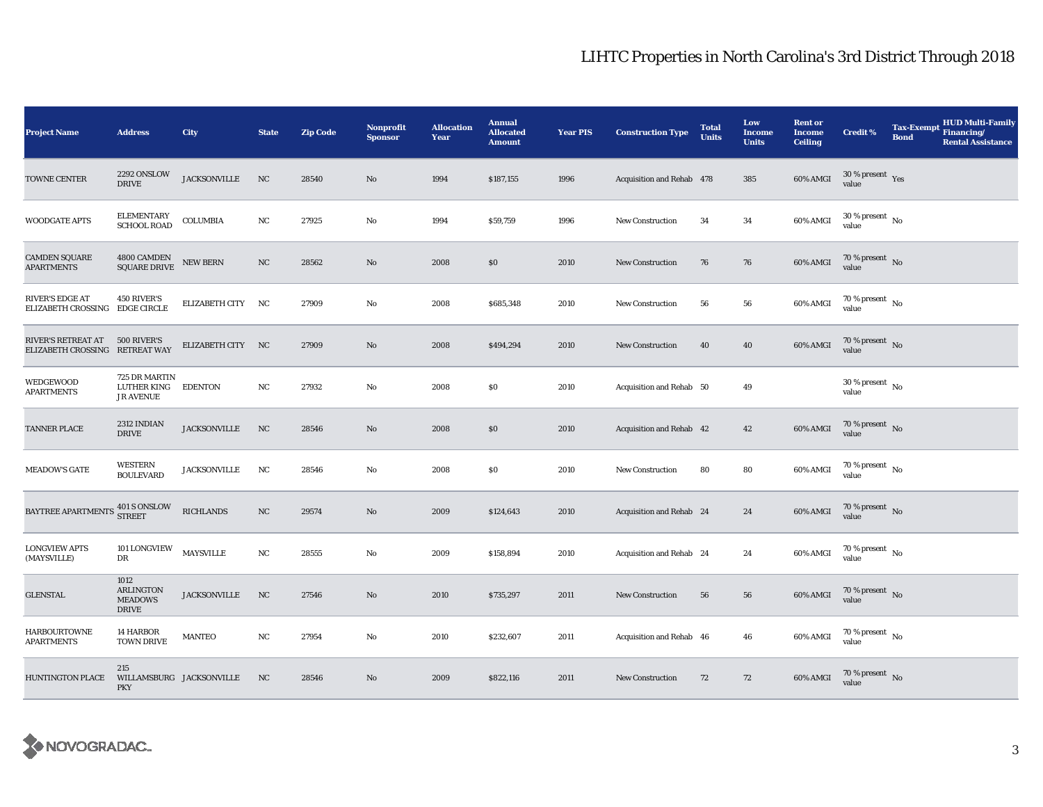| <b>Project Name</b>                                  | <b>Address</b>                                             | City                     | <b>State</b> | <b>Zip Code</b> | Nonprofit<br><b>Sponsor</b> | <b>Allocation</b><br>Year | <b>Annual</b><br><b>Allocated</b><br><b>Amount</b> | <b>Year PIS</b> | <b>Construction Type</b>  | <b>Total</b><br><b>Units</b> | Low<br>Income<br><b>Units</b> | <b>Rent or</b><br><b>Income</b><br><b>Ceiling</b> | <b>Credit %</b>                               | <b>Tax-Exempt</b><br><b>Bond</b> | HUD Multi-Family<br>Financing/<br><b>Rental Assistance</b> |
|------------------------------------------------------|------------------------------------------------------------|--------------------------|--------------|-----------------|-----------------------------|---------------------------|----------------------------------------------------|-----------------|---------------------------|------------------------------|-------------------------------|---------------------------------------------------|-----------------------------------------------|----------------------------------|------------------------------------------------------------|
| TOWNE CENTER                                         | 2292 ONSLOW<br><b>DRIVE</b>                                | <b>JACKSONVILLE</b>      | NC           | 28540           | $\mathbf{N}\mathbf{o}$      | 1994                      | \$187,155                                          | 1996            | Acquisition and Rehab 478 |                              | 385                           | 60% AMGI                                          | $30$ % present $\sqrt{\mathrm{Yes}}$<br>value |                                  |                                                            |
| <b>WOODGATE APTS</b>                                 | ELEMENTARY<br><b>SCHOOL ROAD</b>                           | COLUMBIA                 | $_{\rm NC}$  | 27925           | No                          | 1994                      | \$59,759                                           | 1996            | <b>New Construction</b>   | 34                           | 34                            | 60% AMGI                                          | $30\,\%$ present $\,$ No $\,$<br>value        |                                  |                                                            |
| <b>CAMDEN SQUARE</b><br><b>APARTMENTS</b>            | 4800 CAMDEN<br>SQUARE DRIVE                                | NEW BERN                 | $_{\rm NC}$  | 28562           | $\mathbf{No}$               | 2008                      | \$0                                                | 2010            | <b>New Construction</b>   | 76                           | 76                            | 60% AMGI                                          | $70\,\%$ present $\,$ No value                |                                  |                                                            |
| RIVER'S EDGE AT<br>ELIZABETH CROSSING EDGE CIRCLE    | <b>450 RIVER'S</b>                                         | ELIZABETH CITY NC        |              | 27909           | No                          | 2008                      | \$685,348                                          | 2010            | <b>New Construction</b>   | 56                           | 56                            | 60% AMGI                                          | $70$ % present $\,$ No $\,$<br>value          |                                  |                                                            |
| RIVER'S RETREAT AT<br>ELIZABETH CROSSING RETREAT WAY | 500 RIVER'S                                                | ELIZABETH CITY NC        |              | 27909           | No                          | 2008                      | \$494,294                                          | 2010            | <b>New Construction</b>   | 40                           | 40                            | 60% AMGI                                          | 70 % present No<br>value                      |                                  |                                                            |
| WEDGEWOOD<br><b>APARTMENTS</b>                       | 725 DR MARTIN<br>LUTHER KING<br><b>JR AVENUE</b>           | <b>EDENTON</b>           | NC           | 27932           | No                          | 2008                      | \$0                                                | 2010            | Acquisition and Rehab 50  |                              | 49                            |                                                   | 30 % present $\,$ No $\,$<br>value            |                                  |                                                            |
| <b>TANNER PLACE</b>                                  | 2312 INDIAN<br><b>DRIVE</b>                                | <b>JACKSONVILLE</b>      | NC           | 28546           | No                          | 2008                      | \$0                                                | 2010            | Acquisition and Rehab 42  |                              | 42                            | 60% AMGI                                          | 70 % present $\hbox{~No}$<br>value            |                                  |                                                            |
| <b>MEADOW'S GATE</b>                                 | WESTERN<br><b>BOULEVARD</b>                                | <b>JACKSONVILLE</b>      | NC           | 28546           | No                          | 2008                      | S <sub>0</sub>                                     | 2010            | New Construction          | 80                           | ${\bf 80}$                    | 60% AMGI                                          | $70$ % present $\,$ No $\,$<br>value          |                                  |                                                            |
| <b>BAYTREE APARTMENTS</b>                            | $401\,\mathrm{S}$ ONSLOW STREET                            | <b>RICHLANDS</b>         | NC           | 29574           | $\mathbf{No}$               | 2009                      | \$124,643                                          | 2010            | Acquisition and Rehab 24  |                              | 24                            | 60% AMGI                                          | $70\,\%$ present $\,$ No value                |                                  |                                                            |
| <b>LONGVIEW APTS</b><br>(MAYSVILLE)                  | 101 LONGVIEW<br>DR                                         | <b>MAYSVILLE</b>         | $_{\rm NC}$  | 28555           | No                          | 2009                      | \$158,894                                          | 2010            | Acquisition and Rehab 24  |                              | 24                            | 60% AMGI                                          | $70$ % present $_{\, \rm No}$<br>value        |                                  |                                                            |
| <b>GLENSTAL</b>                                      | 1012<br><b>ARLINGTON</b><br><b>MEADOWS</b><br><b>DRIVE</b> | <b>JACKSONVILLE</b>      | NC           | 27546           | No                          | 2010                      | \$735,297                                          | 2011            | <b>New Construction</b>   | 56                           | 56                            | 60% AMGI                                          | $70\,\%$ present $\,$ No value                |                                  |                                                            |
| <b>HARBOURTOWNE</b><br><b>APARTMENTS</b>             | 14 HARBOR<br><b>TOWN DRIVE</b>                             | <b>MANTEO</b>            | NC           | 27954           | No                          | 2010                      | \$232,607                                          | 2011            | Acquisition and Rehab 46  |                              | 46                            | 60% AMGI                                          | $70\,\%$ present $\,$ No value                |                                  |                                                            |
| <b>HUNTINGTON PLACE</b>                              | 215<br><b>PKY</b>                                          | WILLAMSBURG JACKSONVILLE | NC           | 28546           | No                          | 2009                      | \$822,116                                          | 2011            | New Construction          | 72                           | 72                            | 60% AMGI                                          | 70 % present $\bar{N}$ o<br>value             |                                  |                                                            |

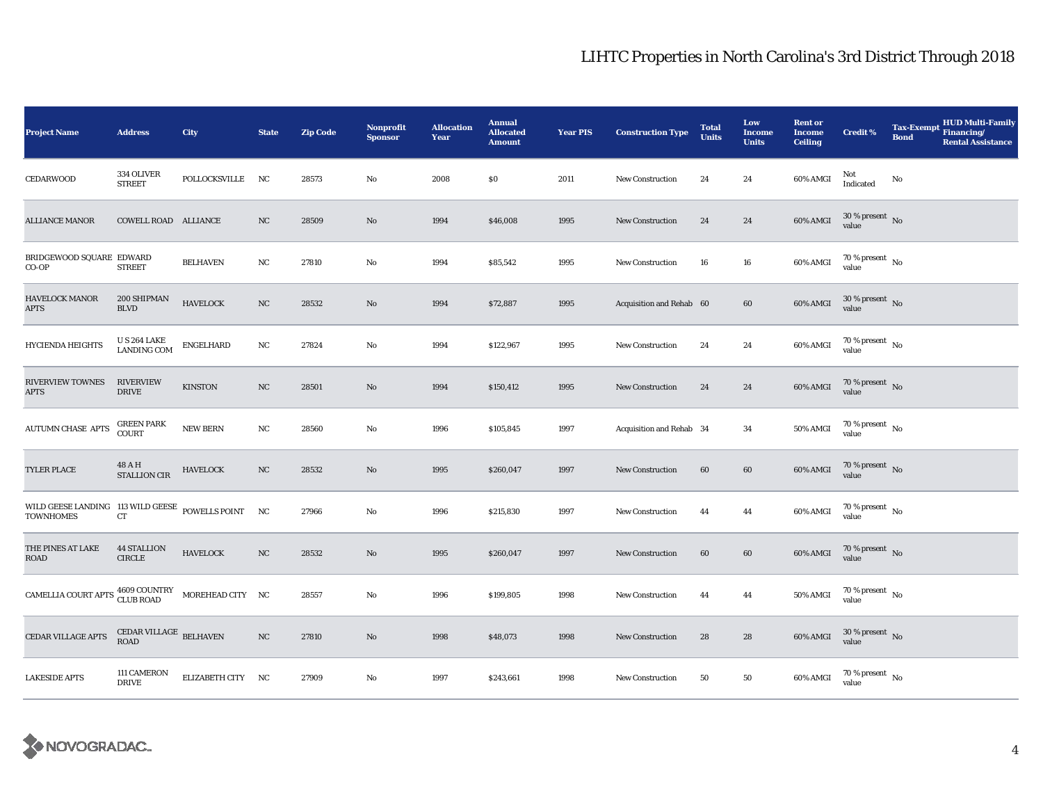| <b>Project Name</b>                                                                                                            | <b>Address</b>                           | City              | <b>State</b> | <b>Zip Code</b> | Nonprofit<br><b>Sponsor</b> | <b>Allocation</b><br>Year | <b>Annual</b><br><b>Allocated</b><br><b>Amount</b> | <b>Year PIS</b> | <b>Construction Type</b> | <b>Total</b><br><b>Units</b> | Low<br><b>Income</b><br><b>Units</b> | <b>Rent or</b><br><b>Income</b><br><b>Ceiling</b> | <b>Credit %</b>                      | <b>HUD Multi-Family</b><br><b>Tax-Exempt</b><br>Financing/<br><b>Bond</b><br><b>Rental Assistance</b> |
|--------------------------------------------------------------------------------------------------------------------------------|------------------------------------------|-------------------|--------------|-----------------|-----------------------------|---------------------------|----------------------------------------------------|-----------------|--------------------------|------------------------------|--------------------------------------|---------------------------------------------------|--------------------------------------|-------------------------------------------------------------------------------------------------------|
| <b>CEDARWOOD</b>                                                                                                               | 334 OLIVER<br><b>STREET</b>              | POLLOCKSVILLE NC  |              | 28573           | No                          | 2008                      | S <sub>0</sub>                                     | 2011            | New Construction         | 24                           | 24                                   | 60% AMGI                                          | Not<br>Indicated                     | No                                                                                                    |
| <b>ALLIANCE MANOR</b>                                                                                                          | COWELL ROAD ALLIANCE                     |                   | $_{\rm NC}$  | 28509           | No                          | 1994                      | \$46,008                                           | 1995            | <b>New Construction</b>  | 24                           | 24                                   | 60% AMGI                                          | 30 % present No<br>value             |                                                                                                       |
| BRIDGEWOOD SQUARE EDWARD<br>$CO-OP$                                                                                            | <b>STREET</b>                            | <b>BELHAVEN</b>   | NC           | 27810           | No                          | 1994                      | \$85,542                                           | 1995            | New Construction         | 16                           | 16                                   | 60% AMGI                                          | $70\,\%$ present $\,$ No value       |                                                                                                       |
| <b>HAVELOCK MANOR</b><br><b>APTS</b>                                                                                           | 200 SHIPMAN<br><b>BLVD</b>               | <b>HAVELOCK</b>   | NC           | 28532           | No                          | 1994                      | \$72,887                                           | 1995            | Acquisition and Rehab 60 |                              | 60                                   | 60% AMGI                                          | $30\,\%$ present $\,$ No value       |                                                                                                       |
| HYCIENDA HEIGHTS                                                                                                               | <b>US 264 LAKE</b><br><b>LANDING COM</b> | ENGELHARD         | NC           | 27824           | No                          | 1994                      | \$122,967                                          | 1995            | <b>New Construction</b>  | 24                           | 24                                   | 60% AMGI                                          | $70\,\%$ present $\,$ No value       |                                                                                                       |
| <b>RIVERVIEW TOWNES</b><br><b>APTS</b>                                                                                         | <b>RIVERVIEW</b><br><b>DRIVE</b>         | <b>KINSTON</b>    | $_{\rm NC}$  | 28501           | $\mathbf{N}\mathbf{o}$      | 1994                      | \$150,412                                          | 1995            | New Construction         | 24                           | 24                                   | 60% AMGI                                          | $70\,\%$ present $\,$ No value       |                                                                                                       |
| <b>AUTUMN CHASE APTS</b>                                                                                                       | <b>GREEN PARK</b><br><b>COURT</b>        | NEW BERN          | $_{\rm NC}$  | 28560           | No                          | 1996                      | \$105,845                                          | 1997            | Acquisition and Rehab 34 |                              | 34                                   | 50% AMGI                                          | $70\,\%$ present $\,$ No value       |                                                                                                       |
| TYLER PLACE                                                                                                                    | 48 A H<br><b>STALLION CIR</b>            | <b>HAVELOCK</b>   | $_{\rm NC}$  | 28532           | $\mathbf{N}\mathbf{o}$      | 1995                      | \$260,047                                          | 1997            | <b>New Construction</b>  | 60                           | $\bf{60}$                            | 60% AMGI                                          | $70\,\%$ present $\,$ No value       |                                                                                                       |
| WILD GEESE LANDING 113 WILD GEESE POWELLS POINT NC<br><b>TOWNHOMES</b>                                                         | ${\rm CT}$                               |                   |              | 27966           | No                          | 1996                      | \$215,830                                          | 1997            | <b>New Construction</b>  | 44                           | 44                                   | 60% AMGI                                          | $70$ % present $\,$ No $\,$<br>value |                                                                                                       |
| THE PINES AT LAKE<br>ROAD                                                                                                      | <b>44 STALLION</b><br><b>CIRCLE</b>      | <b>HAVELOCK</b>   | NC           | 28532           | $\mathbf{N}\mathbf{o}$      | 1995                      | \$260,047                                          | 1997            | New Construction         | 60                           | 60                                   | 60% AMGI                                          | $70\,\%$ present $\,$ No value       |                                                                                                       |
| $\begin{tabular}{ll} \textbf{CAMELIA COURT APTS} & \textbf{4609 COUNTRY} & \textbf{MOREHEAD CITY} & \textbf{NC} \end{tabular}$ |                                          |                   |              | 28557           | No                          | 1996                      | \$199,805                                          | 1998            | <b>New Construction</b>  | 44                           | 44                                   | <b>50% AMGI</b>                                   | 70 % present $\hbox{~No}$<br>value   |                                                                                                       |
| <b>CEDAR VILLAGE APTS</b>                                                                                                      | CEDAR VILLAGE $\,$ BELHAVEN ROAD         |                   | $_{\rm NC}$  | 27810           | $\mathbf{N}\mathbf{o}$      | 1998                      | \$48,073                                           | 1998            | <b>New Construction</b>  | 28                           | 28                                   | 60% AMGI                                          | $30\,\%$ present $\,$ No value       |                                                                                                       |
| <b>LAKESIDE APTS</b>                                                                                                           | 111 CAMERON<br><b>DRIVE</b>              | ELIZABETH CITY NC |              | 27909           | $\rm No$                    | 1997                      | \$243,661                                          | 1998            | New Construction         | 50                           | ${\bf 50}$                           | 60% AMGI                                          | $70\,\%$ present $\,$ No value       |                                                                                                       |

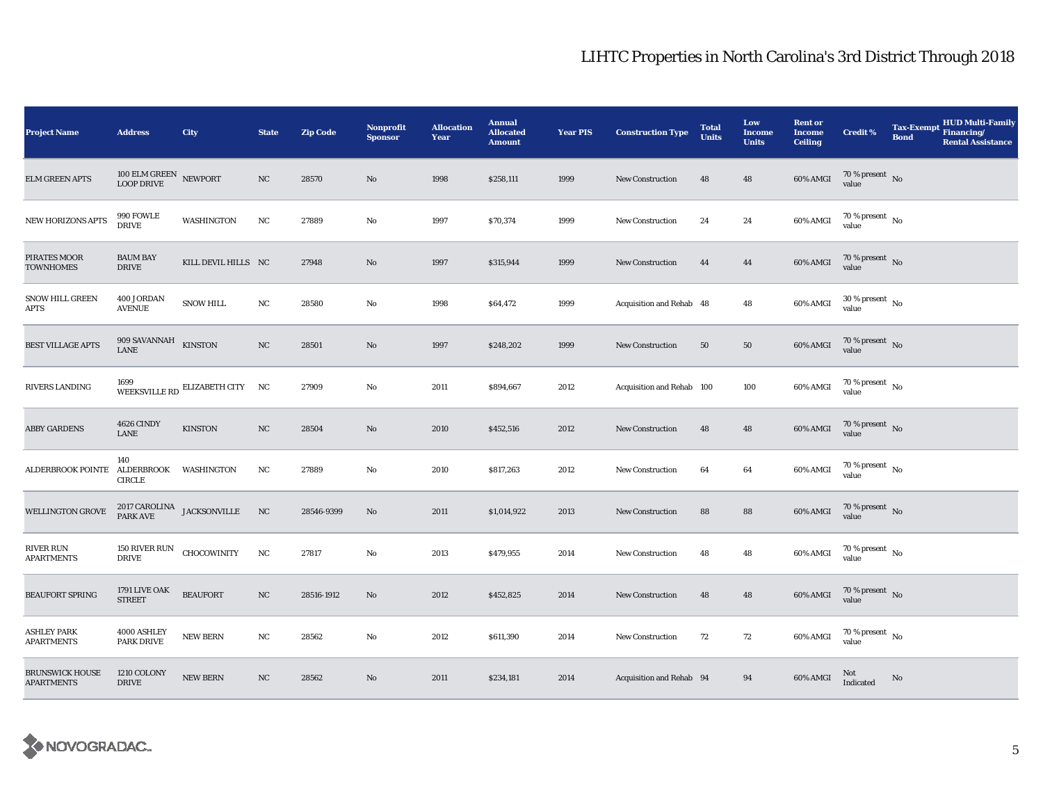| <b>Project Name</b>                         | <b>Address</b>                             | City                                   | <b>State</b> | <b>Zip Code</b> | <b>Nonprofit</b><br><b>Sponsor</b> | <b>Allocation</b><br>Year | <b>Annual</b><br><b>Allocated</b><br><b>Amount</b> | <b>Year PIS</b> | <b>Construction Type</b>  | <b>Total</b><br><b>Units</b> | Low<br>Income<br><b>Units</b> | <b>Rent or</b><br><b>Income</b><br><b>Ceiling</b> | <b>Credit %</b>                        | <b>Tax-Exempt</b><br><b>Bond</b> | HUD Multi-Family<br>Financing/<br><b>Rental Assistance</b> |
|---------------------------------------------|--------------------------------------------|----------------------------------------|--------------|-----------------|------------------------------------|---------------------------|----------------------------------------------------|-----------------|---------------------------|------------------------------|-------------------------------|---------------------------------------------------|----------------------------------------|----------------------------------|------------------------------------------------------------|
| <b>ELM GREEN APTS</b>                       | 100 ELM GREEN NEWPORT<br><b>LOOP DRIVE</b> |                                        | NC           | 28570           | No                                 | 1998                      | \$258,111                                          | 1999            | <b>New Construction</b>   | 48                           | 48                            | 60% AMGI                                          | 70 % present $\hbox{~No}$<br>value     |                                  |                                                            |
| <b>NEW HORIZONS APTS</b>                    | 990 FOWLE<br><b>DRIVE</b>                  | WASHINGTON                             | NC           | 27889           | No                                 | 1997                      | \$70,374                                           | 1999            | <b>New Construction</b>   | 24                           | 24                            | 60% AMGI                                          | $70$ % present $\,$ No $\,$<br>value   |                                  |                                                            |
| PIRATES MOOR<br><b>TOWNHOMES</b>            | <b>BAUM BAY</b><br><b>DRIVE</b>            | KILL DEVIL HILLS NC                    |              | 27948           | $\mathbf{No}$                      | 1997                      | \$315,944                                          | 1999            | <b>New Construction</b>   | 44                           | 44                            | 60% AMGI                                          | $70\,\%$ present $\,$ No value         |                                  |                                                            |
| <b>SNOW HILL GREEN</b><br><b>APTS</b>       | 400 JORDAN<br><b>AVENUE</b>                | <b>SNOW HILL</b>                       | NC           | 28580           | No                                 | 1998                      | \$64,472                                           | 1999            | Acquisition and Rehab 48  |                              | 48                            | 60% AMGI                                          | $30\,\%$ present $\,$ No $\,$<br>value |                                  |                                                            |
| <b>BEST VILLAGE APTS</b>                    | 909 SAVANNAH<br><b>LANE</b>                | <b>KINSTON</b>                         | NC           | 28501           | No                                 | 1997                      | \$248,202                                          | 1999            | <b>New Construction</b>   | 50                           | 50                            | 60% AMGI                                          | $70\,\%$ present $\,$ No value         |                                  |                                                            |
| RIVERS LANDING                              |                                            | WEEKSVILLE RD ELIZABETH CITY NC        |              | 27909           | No                                 | 2011                      | \$894,667                                          | 2012            | Acquisition and Rehab 100 |                              | 100                           | 60% AMGI                                          | $70$ % present $\,$ No $\,$<br>value   |                                  |                                                            |
| <b>ABBY GARDENS</b>                         | <b>4626 CINDY</b><br><b>LANE</b>           | <b>KINSTON</b>                         | $_{\rm NC}$  | 28504           | $\mathbf{No}$                      | 2010                      | \$452,516                                          | 2012            | <b>New Construction</b>   | 48                           | 48                            | 60% AMGI                                          | 70 % present $\,$ No $\,$<br>value     |                                  |                                                            |
| <b>ALDERBROOK POINTE</b>                    | 140<br>ALDERBROOK<br><b>CIRCLE</b>         | WASHINGTON                             | NC           | 27889           | No                                 | 2010                      | \$817,263                                          | 2012            | <b>New Construction</b>   | 64                           | 64                            | 60% AMGI                                          | 70 % present $\hbox{~No}$<br>value     |                                  |                                                            |
| <b>WELLINGTON GROVE</b>                     |                                            | 2017 CAROLINA<br>PARK AVE JACKSONVILLE | NC           | 28546-9399      | No                                 | 2011                      | \$1,014,922                                        | 2013            | New Construction          | 88                           | 88                            | 60% AMGI                                          | $70\%$ present No<br>value             |                                  |                                                            |
| RIVER RUN<br><b>APARTMENTS</b>              | 150 RIVER RUN<br><b>DRIVE</b>              | CHOCOWINITY                            | NC           | 27817           | No                                 | 2013                      | \$479,955                                          | 2014            | <b>New Construction</b>   | 48                           | 48                            | 60% AMGI                                          | $70$ % present $_{\, \rm No}$<br>value |                                  |                                                            |
| <b>BEAUFORT SPRING</b>                      | 1791 LIVE OAK<br><b>STREET</b>             | <b>BEAUFORT</b>                        | NC           | 28516-1912      | No                                 | 2012                      | \$452,825                                          | 2014            | <b>New Construction</b>   | 48                           | 48                            | 60% AMGI                                          | 70 % present $\hbox{~No}$<br>value     |                                  |                                                            |
| <b>ASHLEY PARK</b><br><b>APARTMENTS</b>     | 4000 ASHLEY<br><b>PARK DRIVE</b>           | <b>NEW BERN</b>                        | NC           | 28562           | No                                 | 2012                      | \$611,390                                          | 2014            | <b>New Construction</b>   | 72                           | 72                            | 60% AMGI                                          | 70 % present $\hbox{~No}$<br>value     |                                  |                                                            |
| <b>BRUNSWICK HOUSE</b><br><b>APARTMENTS</b> | 1210 COLONY<br><b>DRIVE</b>                | NEW BERN                               | NC           | 28562           | $\mathbf{N}\mathbf{o}$             | 2011                      | \$234,181                                          | 2014            | Acquisition and Rehab 94  |                              | 94                            | 60% AMGI                                          | Not<br>Indicated                       | No                               |                                                            |

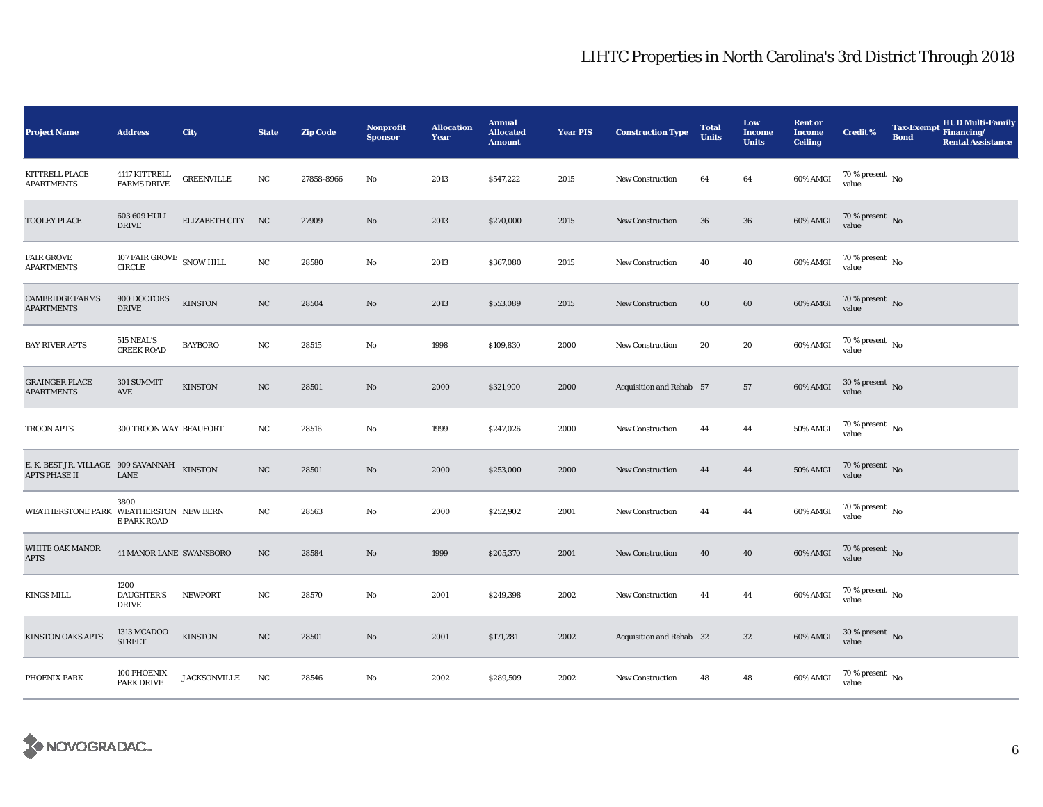| <b>Project Name</b>                                                 | <b>Address</b>                                                  | City                | <b>State</b>     | <b>Zip Code</b> | <b>Nonprofit</b><br><b>Sponsor</b> | <b>Allocation</b><br>Year | <b>Annual</b><br><b>Allocated</b><br><b>Amount</b> | <b>Year PIS</b> | <b>Construction Type</b> | <b>Total</b><br><b>Units</b> | Low<br><b>Income</b><br><b>Units</b> | <b>Rent or</b><br><b>Income</b><br><b>Ceiling</b> | <b>Credit %</b>                        | <b>Tax-Exempt</b><br><b>Bond</b> | <b>HUD Multi-Family</b><br>Financing/<br><b>Rental Assistance</b> |
|---------------------------------------------------------------------|-----------------------------------------------------------------|---------------------|------------------|-----------------|------------------------------------|---------------------------|----------------------------------------------------|-----------------|--------------------------|------------------------------|--------------------------------------|---------------------------------------------------|----------------------------------------|----------------------------------|-------------------------------------------------------------------|
| KITTRELL PLACE<br><b>APARTMENTS</b>                                 | 4117 KITTRELL<br><b>FARMS DRIVE</b>                             | <b>GREENVILLE</b>   | $_{\rm NC}$      | 27858-8966      | No                                 | 2013                      | \$547,222                                          | 2015            | New Construction         | 64                           | 64                                   | 60% AMGI                                          | 70 % present $\hbox{~No}$<br>value     |                                  |                                                                   |
| <b>TOOLEY PLACE</b>                                                 | 603 609 HULL<br><b>DRIVE</b>                                    | ELIZABETH CITY NC   |                  | 27909           | No                                 | 2013                      | \$270,000                                          | 2015            | <b>New Construction</b>  | 36                           | ${\bf 36}$                           | 60% AMGI                                          | $70$ % present $\,$ No $\,$<br>value   |                                  |                                                                   |
| <b>FAIR GROVE</b><br><b>APARTMENTS</b>                              | 107 FAIR GROVE $\,$ SNOW HILL<br>$\ensuremath{\mathsf{CIRCLE}}$ |                     | NC               | 28580           | No                                 | 2013                      | \$367,080                                          | 2015            | <b>New Construction</b>  | 40                           | 40                                   | 60% AMGI                                          | $70$ % present $\,$ No $\,$<br>value   |                                  |                                                                   |
| <b>CAMBRIDGE FARMS</b><br><b>APARTMENTS</b>                         | 900 DOCTORS<br><b>DRIVE</b>                                     | <b>KINSTON</b>      | NC               | 28504           | $\mathbf{No}$                      | 2013                      | \$553,089                                          | 2015            | New Construction         | 60                           | 60                                   | 60% AMGI                                          | 70 % present $\,$ No $\,$<br>value     |                                  |                                                                   |
| <b>BAY RIVER APTS</b>                                               | 515 NEAL'S<br><b>CREEK ROAD</b>                                 | <b>BAYBORO</b>      | NC               | 28515           | No                                 | 1998                      | \$109,830                                          | 2000            | <b>New Construction</b>  | 20                           | 20                                   | 60% AMGI                                          | 70 % present $\hbox{~No}$<br>value     |                                  |                                                                   |
| <b>GRAINGER PLACE</b><br><b>APARTMENTS</b>                          | 301 SUMMIT<br>AVE                                               | <b>KINSTON</b>      | NC               | 28501           | $\mathbf{No}$                      | 2000                      | \$321,900                                          | 2000            | Acquisition and Rehab 57 |                              | 57                                   | 60% AMGI                                          | $30\,\%$ present $\,$ No $\,$<br>value |                                  |                                                                   |
| <b>TROON APTS</b>                                                   | 300 TROON WAY BEAUFORT                                          |                     | NC               | 28516           | No                                 | 1999                      | \$247,026                                          | 2000            | New Construction         | 44                           | 44                                   | <b>50% AMGI</b>                                   | $70$ % present $\,$ No $\,$<br>value   |                                  |                                                                   |
| E. K. BEST JR. VILLAGE 909 SAVANNAH KINSTON<br><b>APTS PHASE II</b> | <b>LANE</b>                                                     |                     | $_{\mathrm{NC}}$ | 28501           | No                                 | 2000                      | \$253,000                                          | 2000            | <b>New Construction</b>  | 44                           | 44                                   | <b>50% AMGI</b>                                   | 70 % present $\,$ No $\,$<br>value     |                                  |                                                                   |
| WEATHERSTONE PARK WEATHERSTON NEW BERN                              | 3800<br>E PARK ROAD                                             |                     | NC               | 28563           | No                                 | 2000                      | \$252,902                                          | 2001            | New Construction         | 44                           | 44                                   | 60% AMGI                                          | 70 % present $\hbox{~No}$<br>value     |                                  |                                                                   |
| WHITE OAK MANOR<br><b>APTS</b>                                      | 41 MANOR LANE SWANSBORO                                         |                     | NC               | 28584           | No                                 | 1999                      | \$205,370                                          | 2001            | <b>New Construction</b>  | 40                           | 40                                   | 60% AMGI                                          | 70 % present $\,$ No $\,$<br>value     |                                  |                                                                   |
| <b>KINGS MILL</b>                                                   | 1200<br><b>DAUGHTER'S</b><br><b>DRIVE</b>                       | <b>NEWPORT</b>      | NC               | 28570           | No                                 | 2001                      | \$249,398                                          | 2002            | New Construction         | 44                           | 44                                   | 60% AMGI                                          | 70 % present $\hbox{~No}$<br>value     |                                  |                                                                   |
| <b>KINSTON OAKS APTS</b>                                            | 1313 MCADOO<br><b>STREET</b>                                    | <b>KINSTON</b>      | $_{\rm NC}$      | 28501           | No                                 | 2001                      | \$171,281                                          | 2002            | Acquisition and Rehab 32 |                              | $32\,$                               | 60% AMGI                                          | $30\,\%$ present $\,$ No value         |                                  |                                                                   |
| PHOENIX PARK                                                        | 100 PHOENIX<br><b>PARK DRIVE</b>                                | <b>JACKSONVILLE</b> | NC               | 28546           | No                                 | 2002                      | \$289,509                                          | 2002            | New Construction         | 48                           | 48                                   | 60% AMGI                                          | $70$ % present $\,$ No $\,$<br>value   |                                  |                                                                   |

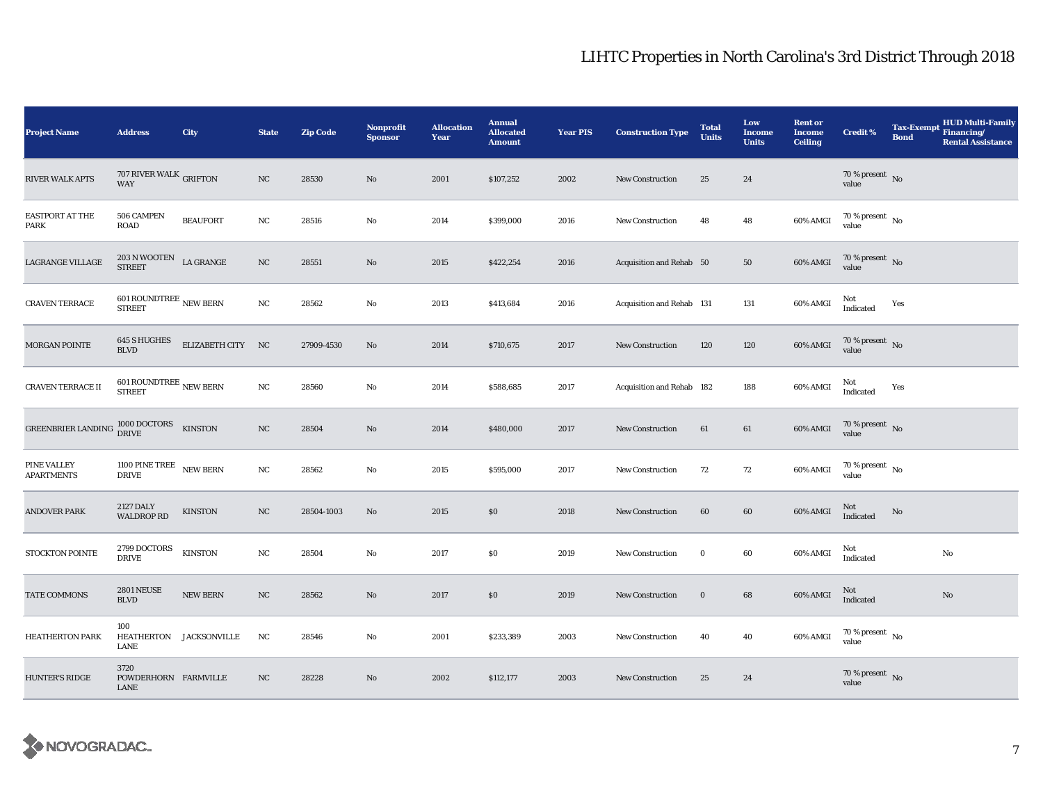| <b>Project Name</b>                     | <b>Address</b>                                  | <b>City</b>       | <b>State</b> | <b>Zip Code</b> | Nonprofit<br><b>Sponsor</b> | <b>Allocation</b><br>Year | <b>Annual</b><br><b>Allocated</b><br><b>Amount</b> | <b>Year PIS</b> | <b>Construction Type</b>  | <b>Total</b><br><b>Units</b> | Low<br><b>Income</b><br><b>Units</b> | <b>Rent or</b><br><b>Income</b><br><b>Ceiling</b> | <b>Credit %</b>                      | <b>Tax-Exempt</b><br><b>Bond</b> | <b>HUD Multi-Family</b><br>Financing/<br><b>Rental Assistance</b> |
|-----------------------------------------|-------------------------------------------------|-------------------|--------------|-----------------|-----------------------------|---------------------------|----------------------------------------------------|-----------------|---------------------------|------------------------------|--------------------------------------|---------------------------------------------------|--------------------------------------|----------------------------------|-------------------------------------------------------------------|
| <b>RIVER WALK APTS</b>                  | 707 RIVER WALK $_{\rm GRIFTON}$<br><b>WAY</b>   |                   | NC           | 28530           | $\mathbf{N}\mathbf{o}$      | 2001                      | \$107,252                                          | 2002            | New Construction          | 25                           | 24                                   |                                                   | 70 % present $\hbox{~No}$<br>value   |                                  |                                                                   |
| <b>EASTPORT AT THE</b><br>PARK          | 506 CAMPEN<br><b>ROAD</b>                       | <b>BEAUFORT</b>   | NC           | 28516           | No                          | 2014                      | \$399,000                                          | 2016            | New Construction          | 48                           | 48                                   | 60% AMGI                                          | $70$ % present $\,$ No $\,$<br>value |                                  |                                                                   |
| LAGRANGE VILLAGE                        | 203 N WOOTEN<br>STREET                          | ${\rm LA}$ GRANGE | $_{\rm NC}$  | 28551           | $\mathbf{N}\mathbf{o}$      | 2015                      | \$422,254                                          | 2016            | Acquisition and Rehab 50  |                              | ${\bf 50}$                           | 60% AMGI                                          | $70\,\%$ present $\,$ No value       |                                  |                                                                   |
| <b>CRAVEN TERRACE</b>                   | $601\, \text{ROUNDTREE}\xspace$ NEW BERN STREET |                   | NC           | 28562           | No                          | 2013                      | \$413,684                                          | 2016            | Acquisition and Rehab 131 |                              | 131                                  | 60% AMGI                                          | Not<br>Indicated                     | Yes                              |                                                                   |
| <b>MORGAN POINTE</b>                    | <b>645 S HUGHES</b><br><b>BLVD</b>              | ELIZABETH CITY NC |              | 27909-4530      | $\mathbf{N}\mathbf{o}$      | 2014                      | \$710,675                                          | 2017            | <b>New Construction</b>   | 120                          | 120                                  | 60% AMGI                                          | $70\,\%$ present $\,$ No value       |                                  |                                                                   |
| <b>CRAVEN TERRACE II</b>                | $601\, \text{ROUNDTREE}\xspace$ NEW BERN STREET |                   | $_{\rm NC}$  | 28560           | No                          | 2014                      | \$588,685                                          | 2017            | Acquisition and Rehab 182 |                              | 188                                  | 60% AMGI                                          | Not<br>Indicated                     | Yes                              |                                                                   |
| GREENBRIER LANDING 1000 DOCTORS KINSTON |                                                 |                   | $_{\rm NC}$  | 28504           | $\mathbf{N}\mathbf{o}$      | 2014                      | \$480,000                                          | 2017            | <b>New Construction</b>   | 61                           | 61                                   | 60% AMGI                                          | $70\,\%$ present $\,$ No value       |                                  |                                                                   |
| PINE VALLEY<br><b>APARTMENTS</b>        | 1100 PINE TREE NEW BERN<br><b>DRIVE</b>         |                   | NC           | 28562           | No                          | 2015                      | \$595,000                                          | 2017            | New Construction          | 72                           | 72                                   | 60% AMGI                                          | 70 % present $\hbox{~No}$<br>value   |                                  |                                                                   |
| <b>ANDOVER PARK</b>                     | <b>2127 DALY</b><br><b>WALDROP RD</b>           | <b>KINSTON</b>    | $_{\rm NC}$  | 28504-1003      | No                          | 2015                      | \$0                                                | 2018            | <b>New Construction</b>   | 60                           | 60                                   | 60% AMGI                                          | Not<br>Indicated                     | No                               |                                                                   |
| STOCKTON POINTE                         | 2799 DOCTORS<br><b>DRIVE</b>                    | <b>KINSTON</b>    | NC           | 28504           | No                          | 2017                      | \$0                                                | 2019            | <b>New Construction</b>   | $\bf{0}$                     | 60                                   | 60% AMGI                                          | Not<br>Indicated                     |                                  | $\mathbf{No}$                                                     |
| TATE COMMONS                            | <b>2801 NEUSE</b><br><b>BLVD</b>                | <b>NEW BERN</b>   | NC           | 28562           | No                          | 2017                      | \$0                                                | 2019            | <b>New Construction</b>   | $\bf{0}$                     | 68                                   | 60% AMGI                                          | Not<br>Indicated                     |                                  | No                                                                |
| <b>HEATHERTON PARK</b>                  | 100<br>HEATHERTON JACKSONVILLE<br>LANE          |                   | NC           | 28546           | No                          | 2001                      | \$233,389                                          | 2003            | <b>New Construction</b>   | 40                           | 40                                   | 60% AMGI                                          | $70\,\%$ present $\,$ No value       |                                  |                                                                   |
| <b>HUNTER'S RIDGE</b>                   | 3720<br>POWDERHORN FARMVILLE<br>LANE            |                   | NC           | 28228           | No                          | 2002                      | \$112,177                                          | 2003            | New Construction          | 25                           | 24                                   |                                                   | $70\%$ present No<br>value           |                                  |                                                                   |

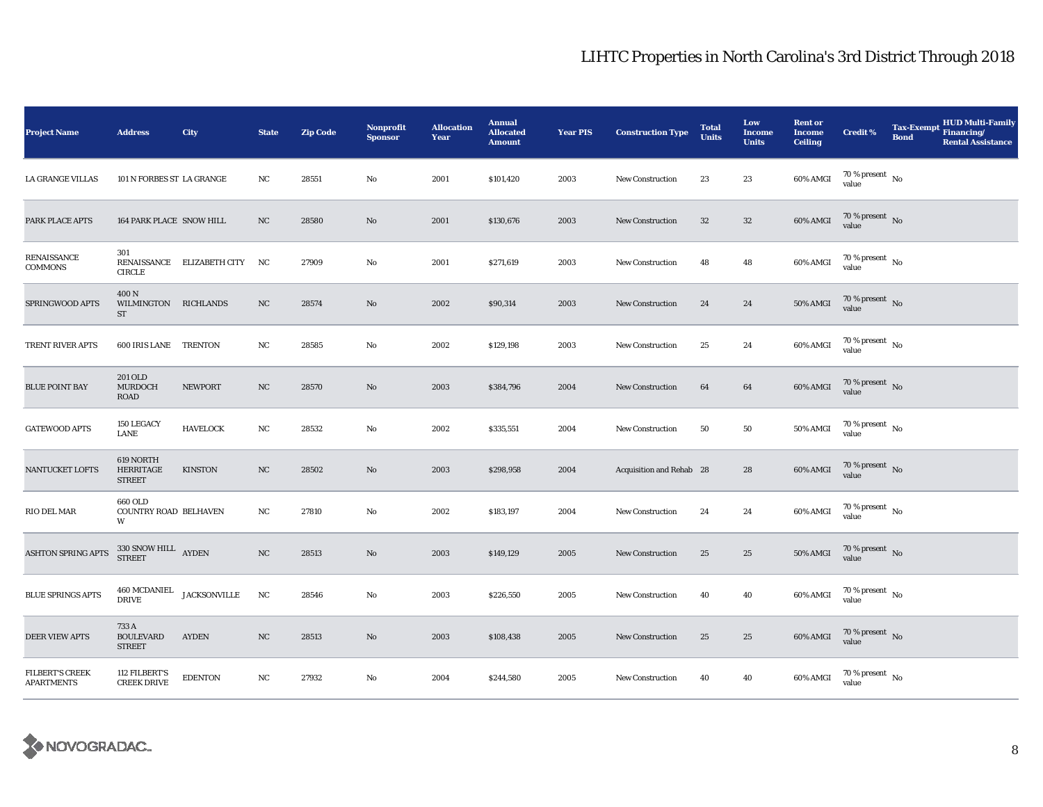| <b>Project Name</b>                         | <b>Address</b>                                 | City                                 | <b>State</b> | <b>Zip Code</b> | Nonprofit<br><b>Sponsor</b> | <b>Allocation</b><br>Year | <b>Annual</b><br><b>Allocated</b><br><b>Amount</b> | <b>Year PIS</b> | <b>Construction Type</b> | <b>Total</b><br><b>Units</b> | Low<br><b>Income</b><br><b>Units</b> | <b>Rent or</b><br><b>Income</b><br><b>Ceiling</b> | <b>Credit %</b>                        | <b>Tax-Exempt</b><br><b>Bond</b> | <b>HUD Multi-Family</b><br>Financing/<br><b>Rental Assistance</b> |
|---------------------------------------------|------------------------------------------------|--------------------------------------|--------------|-----------------|-----------------------------|---------------------------|----------------------------------------------------|-----------------|--------------------------|------------------------------|--------------------------------------|---------------------------------------------------|----------------------------------------|----------------------------------|-------------------------------------------------------------------|
| <b>LA GRANGE VILLAS</b>                     | 101 N FORBES ST LA GRANGE                      |                                      | NC           | 28551           | No                          | 2001                      | \$101,420                                          | 2003            | <b>New Construction</b>  | 23                           | 23                                   | 60% AMGI                                          | 70 % present $\hbox{~No}$<br>value     |                                  |                                                                   |
| PARK PLACE APTS                             | 164 PARK PLACE SNOW HILL                       |                                      | NC           | 28580           | No                          | 2001                      | \$130,676                                          | 2003            | New Construction         | $32\,$                       | $32\phantom{.0}$                     | 60% AMGI                                          | $70$ % present $\,$ No $\,$<br>value   |                                  |                                                                   |
| RENAISSANCE<br>COMMONS                      | 301<br><b>CIRCLE</b>                           | RENAISSANCE ELIZABETH CITY NC        |              | 27909           | No                          | 2001                      | \$271,619                                          | 2003            | <b>New Construction</b>  | 48                           | 48                                   | 60% AMGI                                          | $70\,\%$ present $$$ No value          |                                  |                                                                   |
| SPRINGWOOD APTS                             | 400 N<br>WILMINGTON RICHLANDS<br>ST            |                                      | NC           | 28574           | $\mathbf{N}\mathbf{o}$      | 2002                      | \$90,314                                           | 2003            | New Construction         | 24                           | 24                                   | 50% AMGI                                          | 70 % present $\hbox{~No}$<br>value     |                                  |                                                                   |
| TRENT RIVER APTS                            | <b>600 IRIS LANE TRENTON</b>                   |                                      | NC           | 28585           | No                          | 2002                      | \$129,198                                          | 2003            | <b>New Construction</b>  | 25                           | 24                                   | 60% AMGI                                          | 70 % present $\hbox{~No}$<br>value     |                                  |                                                                   |
| <b>BLUE POINT BAY</b>                       | <b>201 OLD</b><br><b>MURDOCH</b><br>ROAD       | <b>NEWPORT</b>                       | NC           | 28570           | No                          | 2003                      | \$384,796                                          | 2004            | New Construction         | 64                           | 64                                   | 60% AMGI                                          | $70\,\%$ present $\,$ No value         |                                  |                                                                   |
| <b>GATEWOOD APTS</b>                        | 150 LEGACY<br>LANE                             | <b>HAVELOCK</b>                      | NC           | 28532           | No                          | 2002                      | \$335,551                                          | 2004            | New Construction         | 50                           | ${\bf 50}$                           | 50% AMGI                                          | $70\,\%$ present $\,$ No $\,$<br>value |                                  |                                                                   |
| NANTUCKET LOFTS                             | 619 NORTH<br><b>HERRITAGE</b><br><b>STREET</b> | <b>KINSTON</b>                       | NC           | 28502           | $\mathbf{N}\mathbf{o}$      | 2003                      | \$298,958                                          | 2004            | Acquisition and Rehab 28 |                              | 28                                   | 60% AMGI                                          | $70\,\%$ present $\,$ No value         |                                  |                                                                   |
| RIO DEL MAR                                 | 660 OLD<br>COUNTRY ROAD BELHAVEN<br>W          |                                      | NC           | 27810           | No                          | 2002                      | \$183,197                                          | 2004            | New Construction         | 24                           | 24                                   | 60% AMGI                                          | $70$ % present $\,$ No $\,$<br>value   |                                  |                                                                   |
| <b>ASHTON SPRING APTS</b>                   | $330$ SNOW HILL $\quad$ AYDEN STREET           |                                      | $_{\rm NC}$  | 28513           | $\mathbf{N}\mathbf{o}$      | 2003                      | \$149,129                                          | 2005            | <b>New Construction</b>  | 25                           | 25                                   | <b>50% AMGI</b>                                   | 70 % present $\,$ No $\,$<br>value     |                                  |                                                                   |
| <b>BLUE SPRINGS APTS</b>                    | <b>DRIVE</b>                                   | $460$ MCDANIEL $_{\rm JACKSONVILLE}$ | NC           | 28546           | No                          | 2003                      | \$226,550                                          | 2005            | New Construction         | 40                           | 40                                   | 60% AMGI                                          | $70$ % present $\,$ No $\,$<br>value   |                                  |                                                                   |
| <b>DEER VIEW APTS</b>                       | 733 A<br><b>BOULEVARD</b><br><b>STREET</b>     | <b>AYDEN</b>                         | $_{\rm NC}$  | 28513           | $\mathbf{N}\mathbf{o}$      | 2003                      | \$108,438                                          | 2005            | New Construction         | 25                           | 25                                   | 60% AMGI                                          | $70\,\%$ present $\,$ No value         |                                  |                                                                   |
| <b>FILBERT'S CREEK</b><br><b>APARTMENTS</b> | 112 FILBERT'S<br><b>CREEK DRIVE</b>            | <b>EDENTON</b>                       | NC           | 27932           | No                          | 2004                      | \$244,580                                          | 2005            | New Construction         | 40                           | 40                                   | 60% AMGI                                          | $70$ % present $\,$ No $\,$<br>value   |                                  |                                                                   |

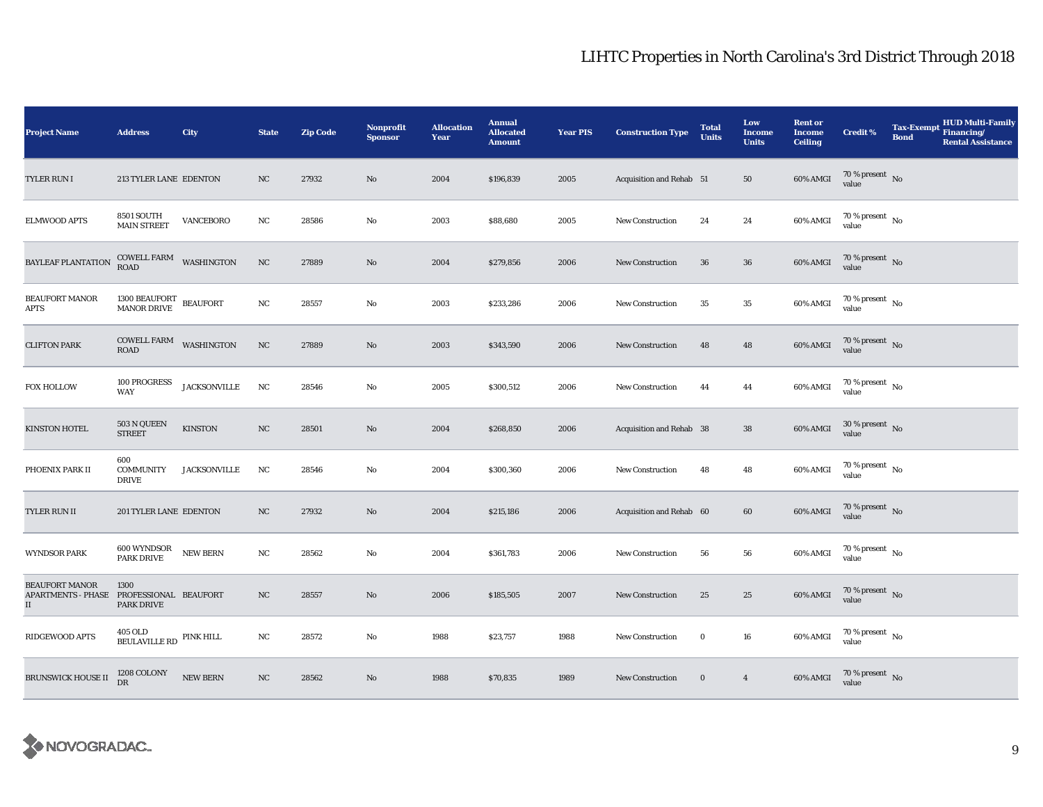| <b>Project Name</b>                                     | <b>Address</b>                                                                                                         | City                       | <b>State</b> | <b>Zip Code</b> | Nonprofit<br><b>Sponsor</b> | <b>Allocation</b><br>Year | <b>Annual</b><br><b>Allocated</b><br><b>Amount</b> | <b>Year PIS</b> | <b>Construction Type</b>        | <b>Total</b><br><b>Units</b> | Low<br><b>Income</b><br><b>Units</b> | <b>Rent or</b><br><b>Income</b><br><b>Ceiling</b> | <b>Credit %</b>                        | <b>Tax-Exempt</b><br><b>Bond</b> | <b>HUD Multi-Family</b><br>Financing/<br><b>Rental Assistance</b> |
|---------------------------------------------------------|------------------------------------------------------------------------------------------------------------------------|----------------------------|--------------|-----------------|-----------------------------|---------------------------|----------------------------------------------------|-----------------|---------------------------------|------------------------------|--------------------------------------|---------------------------------------------------|----------------------------------------|----------------------------------|-------------------------------------------------------------------|
| TYLER RUN I                                             | 213 TYLER LANE EDENTON                                                                                                 |                            | NC           | 27932           | No                          | 2004                      | \$196,839                                          | 2005            | Acquisition and Rehab 51        |                              | 50                                   | 60% AMGI                                          | 70 % present $\hbox{~No}$<br>value     |                                  |                                                                   |
| <b>ELMWOOD APTS</b>                                     | 8501 SOUTH<br><b>MAIN STREET</b>                                                                                       | VANCEBORO                  | $_{\rm NC}$  | 28586           | No                          | 2003                      | \$88,680                                           | 2005            | <b>New Construction</b>         | 24                           | 24                                   | 60% AMGI                                          | $70\,\%$ present $\,$ No $\,$<br>value |                                  |                                                                   |
| <b>BAYLEAF PLANTATION</b>                               | $\begin{minipage}{.4\linewidth} \textbf{COWELL FARM} & \textbf{WASHINGTON} \\ \textbf{ROAD} & \end{minipage}$          |                            | $_{\rm NC}$  | 27889           | No                          | 2004                      | \$279,856                                          | 2006            | <b>New Construction</b>         | 36                           | 36                                   | 60% AMGI                                          | $70\,\%$ present $\,$ No value         |                                  |                                                                   |
| <b>BEAUFORT MANOR</b><br><b>APTS</b>                    | $\begin{array}{ll} \textbf{1300 BEAUFORT} & \textbf{BEAUFORT} \\ \textbf{MANOR DRIVE} & \textbf{BEAUFORT} \end{array}$ |                            | $_{\rm NC}$  | 28557           | No                          | 2003                      | \$233,286                                          | 2006            | <b>New Construction</b>         | 35                           | $\bf 35$                             | 60% AMGI                                          | $70$ % present $_{\, \rm No}$<br>value |                                  |                                                                   |
| <b>CLIFTON PARK</b>                                     | <b>COWELL FARM</b><br>ROAD                                                                                             | <b>WASHINGTON</b>          | $_{\rm NC}$  | 27889           | No                          | 2003                      | \$343,590                                          | 2006            | New Construction                | 48                           | 48                                   | 60% AMGI                                          | $70\,\%$ present $\,$ No value         |                                  |                                                                   |
| <b>FOX HOLLOW</b>                                       | 100 PROGRESS<br>WAY                                                                                                    | $_{\mathrm{JACKSONVILLE}}$ | NC           | 28546           | No                          | 2005                      | \$300,512                                          | 2006            | <b>New Construction</b>         | 44                           | 44                                   | 60% AMGI                                          | $70$ % present $\,$ No value           |                                  |                                                                   |
| <b>KINSTON HOTEL</b>                                    | 503 N QUEEN<br><b>STREET</b>                                                                                           | <b>KINSTON</b>             | NC           | 28501           | No                          | 2004                      | \$268,850                                          | 2006            | <b>Acquisition and Rehab</b> 38 |                              | ${\bf 38}$                           | 60% AMGI                                          | $30\,\%$ present $\,$ No value         |                                  |                                                                   |
| PHOENIX PARK II                                         | 600<br><b>COMMUNITY</b><br><b>DRIVE</b>                                                                                | <b>JACKSONVILLE</b>        | NC           | 28546           | No                          | 2004                      | \$300,360                                          | 2006            | New Construction                | 48                           | 48                                   | 60% AMGI                                          | 70 % present $\hbox{~No}$<br>value     |                                  |                                                                   |
| TYLER RUN II                                            | 201 TYLER LANE EDENTON                                                                                                 |                            | NC           | 27932           | No                          | 2004                      | \$215,186                                          | 2006            | Acquisition and Rehab 60        |                              | 60                                   | $60\%$ AMGI                                       | $70\,\%$ present $\,$ No value         |                                  |                                                                   |
| <b>WYNDSOR PARK</b>                                     | 600 WYNDSOR<br><b>PARK DRIVE</b>                                                                                       | <b>NEW BERN</b>            | NC           | 28562           | No                          | 2004                      | \$361,783                                          | 2006            | <b>New Construction</b>         | 56                           | 56                                   | 60% AMGI                                          | $70\,\%$ present $\,$ No $\,$<br>value |                                  |                                                                   |
| <b>BEAUFORT MANOR</b><br><b>APARTMENTS - PHASE</b><br>П | 1300<br>PROFESSIONAL BEAUFORT<br><b>PARK DRIVE</b>                                                                     |                            | NC           | 28557           | No                          | 2006                      | \$185,505                                          | 2007            | New Construction                | 25                           | 25                                   | 60% AMGI                                          | $70\,\%$ present $\,$ No value         |                                  |                                                                   |
| RIDGEWOOD APTS                                          | 405 OLD<br>BEULAVILLE RD $\;$ PINK HILL                                                                                |                            | NC           | 28572           | No                          | 1988                      | \$23,757                                           | 1988            | New Construction                | $\bf{0}$                     | 16                                   | 60% AMGI                                          | $70\,\%$ present $\,$ No value         |                                  |                                                                   |
| <b>BRUNSWICK HOUSE II</b>                               | 1208 COLONY<br>DR                                                                                                      | NEW BERN                   | NC           | 28562           | No                          | 1988                      | \$70,835                                           | 1989            | New Construction                | $\bf{0}$                     | $\overline{4}$                       | 60% AMGI                                          | $70\,\%$ present $\,$ No value         |                                  |                                                                   |

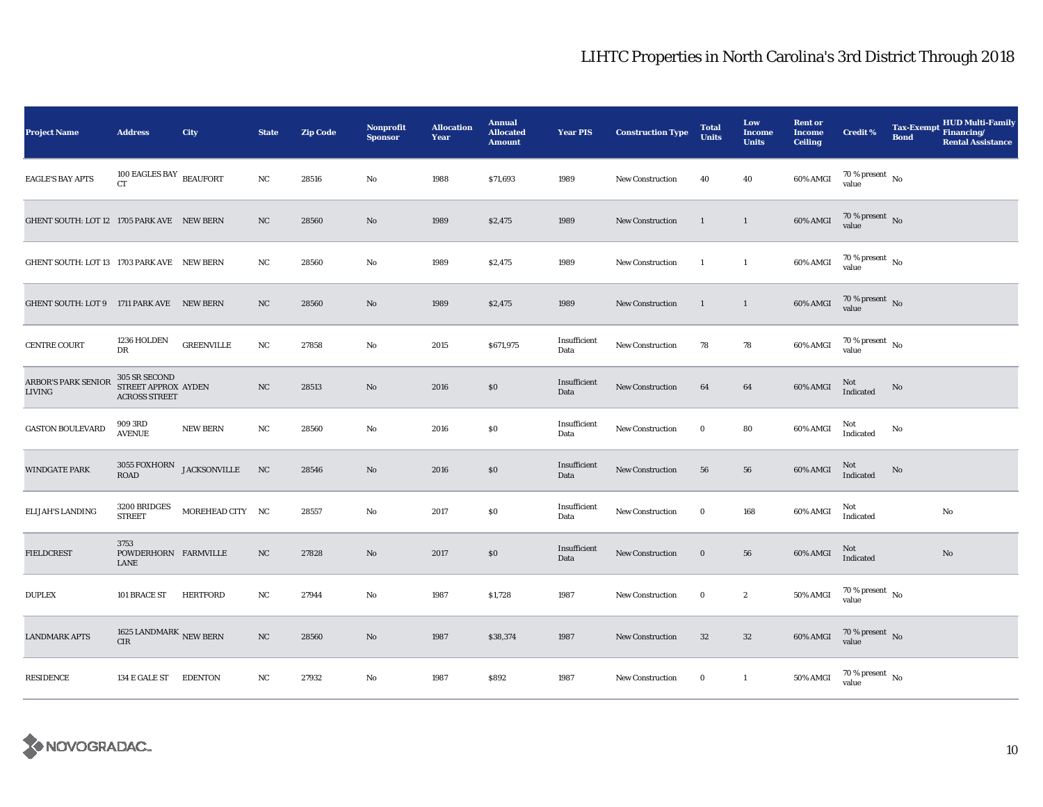| <b>Project Name</b>                        | <b>Address</b>                                               | City               | <b>State</b> | <b>Zip Code</b> | <b>Nonprofit</b><br><b>Sponsor</b> | <b>Allocation</b><br>Year | <b>Annual</b><br><b>Allocated</b><br><b>Amount</b> | <b>Year PIS</b>      | <b>Construction Type</b> | <b>Total</b><br><b>Units</b> | Low<br>Income<br><b>Units</b> | <b>Rent or</b><br><b>Income</b><br><b>Ceiling</b> | <b>Credit %</b>                          | <b>Tax-Exempt</b><br><b>Bond</b> | <b>HUD Multi-Family</b><br>Financing/<br><b>Rental Assistance</b> |
|--------------------------------------------|--------------------------------------------------------------|--------------------|--------------|-----------------|------------------------------------|---------------------------|----------------------------------------------------|----------------------|--------------------------|------------------------------|-------------------------------|---------------------------------------------------|------------------------------------------|----------------------------------|-------------------------------------------------------------------|
| <b>EAGLE'S BAY APTS</b>                    | 100 EAGLES BAY $_{\rm BEAUFORT}$<br>CT                       |                    | NC           | 28516           | No                                 | 1988                      | \$71,693                                           | 1989                 | New Construction         | 40                           | 40                            | 60% AMGI                                          | 70 % present $\hbox{~No}$<br>value       |                                  |                                                                   |
| GHENT SOUTH: LOT 12 1705 PARK AVE NEW BERN |                                                              |                    | NC           | 28560           | No                                 | 1989                      | \$2,475                                            | 1989                 | <b>New Construction</b>  | 1                            | $\mathbf{1}$                  | 60% AMGI                                          | $70\,\%$ present $\,$ No $\,$<br>value   |                                  |                                                                   |
| GHENT SOUTH: LOT 13 1703 PARK AVE NEW BERN |                                                              |                    | NC           | 28560           | No                                 | 1989                      | \$2,475                                            | 1989                 | <b>New Construction</b>  | -1                           | $\mathbf{1}$                  | 60% AMGI                                          | $70$ % present $_{\, \rm No}$<br>value   |                                  |                                                                   |
| GHENT SOUTH: LOT 9 1711 PARK AVE NEW BERN  |                                                              |                    | NC           | 28560           | $\mathbf{No}$                      | 1989                      | \$2,475                                            | 1989                 | New Construction         | <sup>1</sup>                 | $\mathbf{1}$                  | 60% AMGI                                          | 70 % present $\hbox{~No}$<br>value       |                                  |                                                                   |
| <b>CENTRE COURT</b>                        | 1236 HOLDEN<br>DR                                            | ${\tt GREENVILLE}$ | NC           | 27858           | No                                 | 2015                      | \$671,975                                          | Insufficient<br>Data | <b>New Construction</b>  | 78                           | 78                            | 60% AMGI                                          | 70 % present $\hbox{~No}$<br>value       |                                  |                                                                   |
| ARBOR'S PARK SENIOR<br><b>LIVING</b>       | 305 SR SECOND<br>STREET APPROX AYDEN<br><b>ACROSS STREET</b> |                    | NC           | 28513           | $\mathbf{No}$                      | 2016                      | \$0                                                | Insufficient<br>Data | <b>New Construction</b>  | 64                           | 64                            | 60% AMGI                                          | Not<br>Indicated                         | No                               |                                                                   |
| <b>GASTON BOULEVARD</b>                    | 909 3RD<br><b>AVENUE</b>                                     | <b>NEW BERN</b>    | NC           | 28560           | No                                 | 2016                      | $\$0$                                              | Insufficient<br>Data | <b>New Construction</b>  | $\bf{0}$                     | 80                            | 60% AMGI                                          | Not<br>Indicated                         | No                               |                                                                   |
| <b>WINDGATE PARK</b>                       | $3055$ FOXHORN $_{\rm JACKSONVILLE}$<br>ROAD                 |                    | NC           | 28546           | No                                 | 2016                      | \$0\$                                              | Insufficient<br>Data | <b>New Construction</b>  | 56                           | 56                            | 60% AMGI                                          | Not<br>Indicated                         | $\rm No$                         |                                                                   |
| ELIJAH'S LANDING                           | 3200 BRIDGES<br><b>STREET</b>                                | MOREHEAD CITY NC   |              | 28557           | No                                 | 2017                      | $\$0$                                              | Insufficient<br>Data | <b>New Construction</b>  | $\bf{0}$                     | 168                           | 60% AMGI                                          | Not<br>Indicated                         |                                  | No                                                                |
| <b>FIELDCREST</b>                          | 3753<br>POWDERHORN FARMVILLE<br>LANE                         |                    | NC           | 27828           | $\mathbf{No}$                      | 2017                      | \$0                                                | Insufficient<br>Data | <b>New Construction</b>  | $\bf{0}$                     | 56                            | 60% AMGI                                          | Not<br>Indicated                         |                                  | $\mathbf{No}$                                                     |
| <b>DUPLEX</b>                              | 101 BRACE ST                                                 | <b>HERTFORD</b>    | NC           | 27944           | No                                 | 1987                      | \$1,728                                            | 1987                 | <b>New Construction</b>  | $\bf{0}$                     | $\boldsymbol{2}$              | 50% AMGI                                          | 70 % present $\hbox{~No}$<br>value       |                                  |                                                                   |
| <b>LANDMARK APTS</b>                       | 1625 LANDMARK $_{\rm NEW}$ BERN<br>CIR                       |                    | NC           | 28560           | No                                 | 1987                      | \$38,374                                           | 1987                 | <b>New Construction</b>  | 32                           | 32                            | 60% AMGI                                          | $70$ % present $\,$ No $\,$<br>value     |                                  |                                                                   |
| <b>RESIDENCE</b>                           | 134 E GALE ST                                                | <b>EDENTON</b>     | NC           | 27932           | No                                 | 1987                      | \$892                                              | 1987                 | <b>New Construction</b>  | $\bf{0}$                     | $\mathbf{1}$                  | 50% AMGI                                          | $70\%$ present $\overline{N_0}$<br>value |                                  |                                                                   |